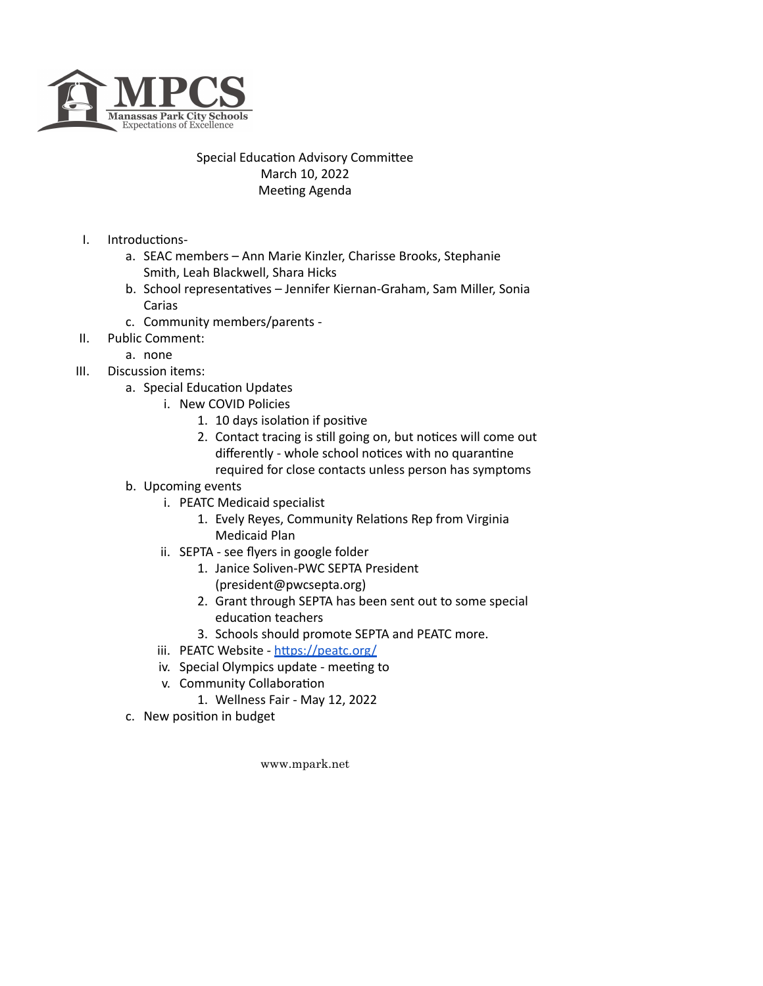

## Special Education Advisory Committee March 10, 2022 Meeting Agenda

- I. Introductions
	- a. SEAC members Ann Marie Kinzler, Charisse Brooks, Stephanie Smith, Leah Blackwell, Shara Hicks
	- b. School representatives Jennifer Kiernan-Graham, Sam Miller, Sonia Carias
	- c. Community members/parents -
- II. Public Comment:
	- a. none
- III. Discussion items:
	- a. Special Education Updates
		- i. New COVID Policies
			- 1. 10 days isolation if positive
			- 2. Contact tracing is still going on, but notices will come out differently - whole school notices with no quarantine required for close contacts unless person has symptoms
		-
	- b. Upcoming events
		- i. PEATC Medicaid specialist
			- 1. Evely Reyes, Community Relations Rep from Virginia Medicaid Plan
		- ii. SEPTA see flyers in google folder
			- 1. Janice Soliven-PWC SEPTA President (president@pwcsepta.org)
			- 2. Grant through SEPTA has been sent out to some special education teachers
			- 3. Schools should promote SEPTA and PEATC more.
		- iii. PEATC Website https://peatc.org/
		- iv. Special Olympics update meeting to
		- v. Community Collaboration
			- 1. Wellness Fair May 12, 2022
	- c. New position in budget

www.mpark.net